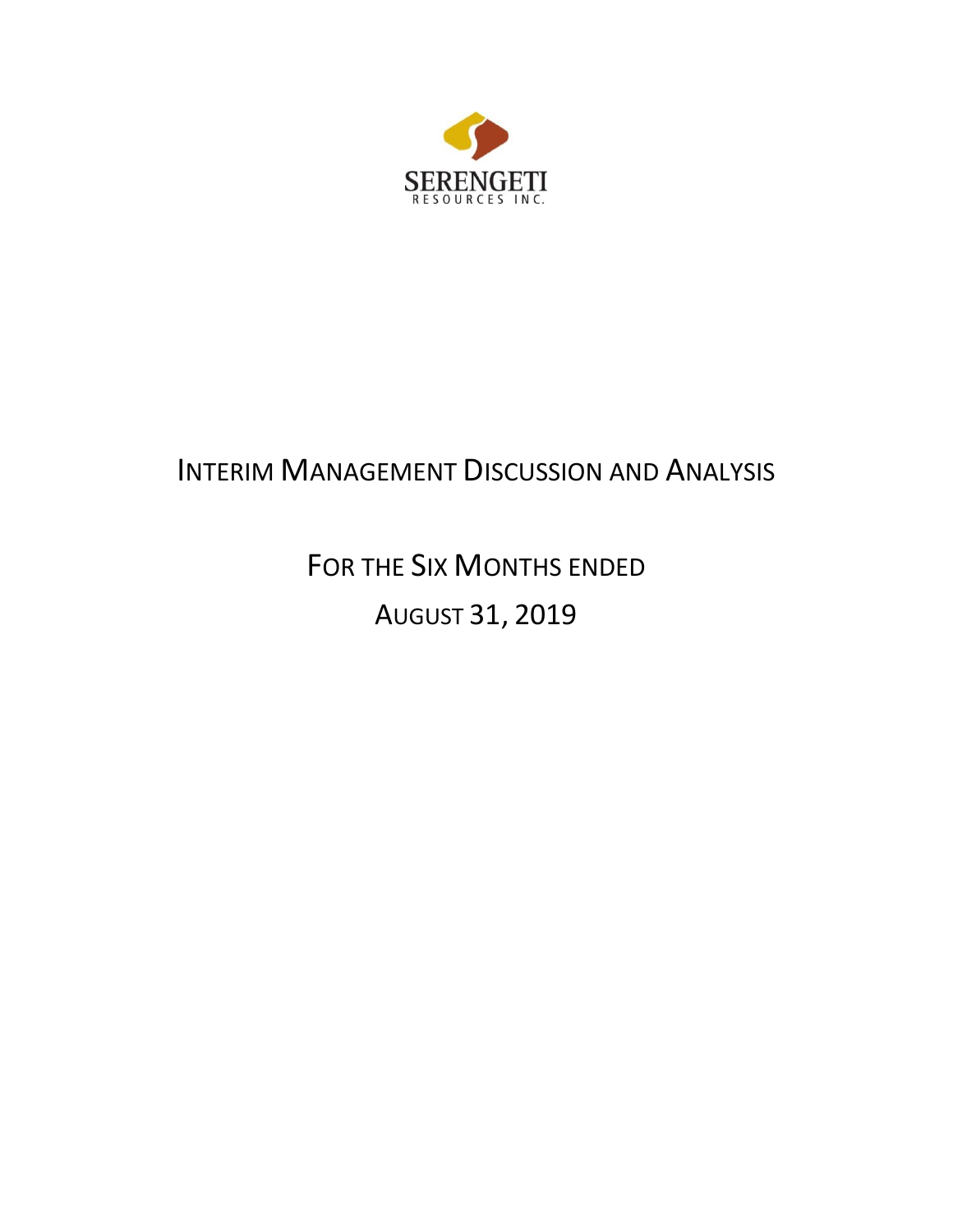

# INTERIM MANAGEMENT DISCUSSION AND ANALYSIS

FOR THE SIX MONTHS ENDED AUGUST 31, 2019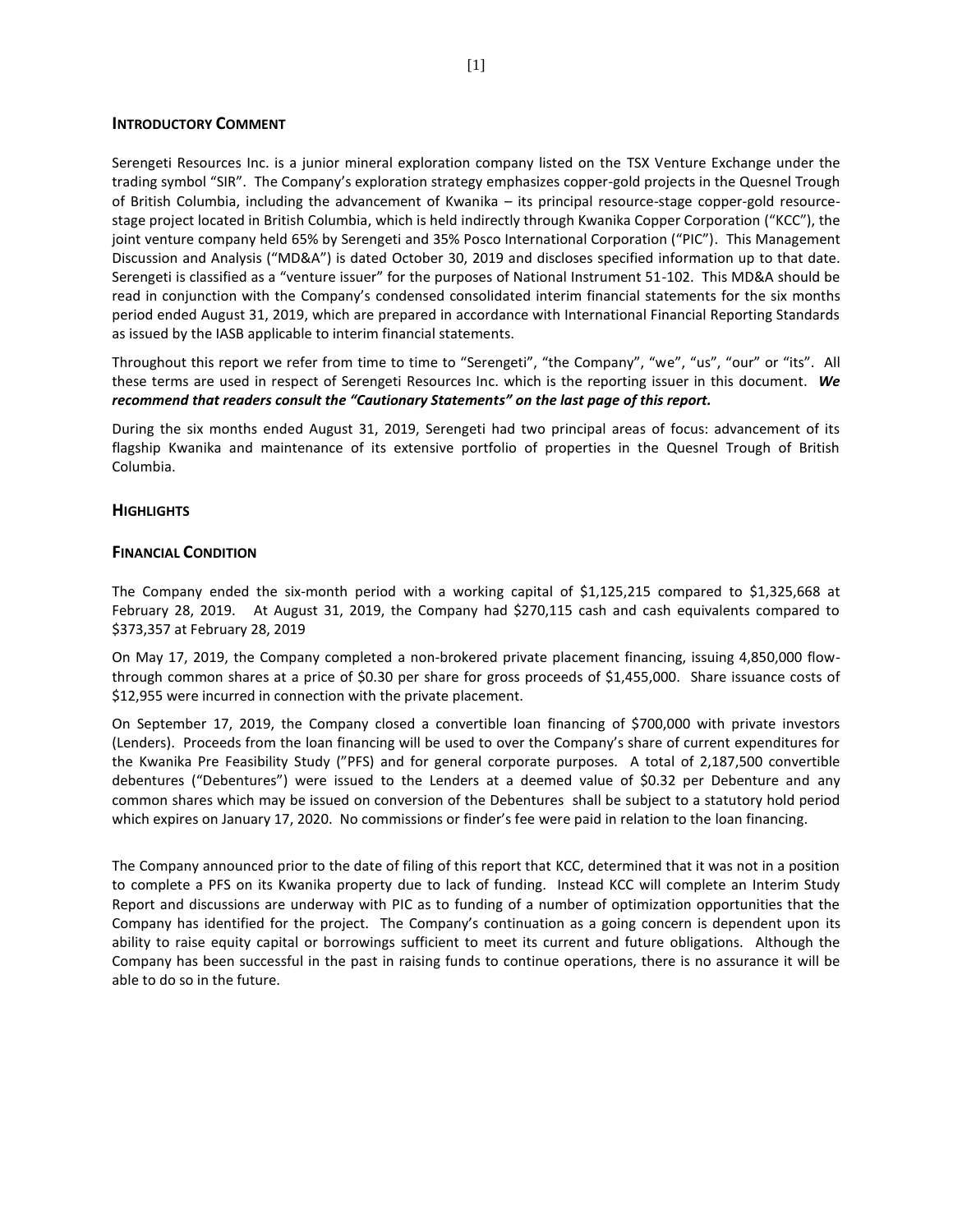## **INTRODUCTORY COMMENT**

Serengeti Resources Inc. is a junior mineral exploration company listed on the TSX Venture Exchange under the trading symbol "SIR". The Company's exploration strategy emphasizes copper-gold projects in the Quesnel Trough of British Columbia, including the advancement of Kwanika – its principal resource-stage copper-gold resourcestage project located in British Columbia, which is held indirectly through Kwanika Copper Corporation ("KCC"), the joint venture company held 65% by Serengeti and 35% Posco International Corporation ("PIC"). This Management Discussion and Analysis ("MD&A") is dated October 30, 2019 and discloses specified information up to that date. Serengeti is classified as a "venture issuer" for the purposes of National Instrument 51-102. This MD&A should be read in conjunction with the Company's condensed consolidated interim financial statements for the six months period ended August 31, 2019, which are prepared in accordance with International Financial Reporting Standards as issued by the IASB applicable to interim financial statements.

Throughout this report we refer from time to time to "Serengeti", "the Company", "we", "us", "our" or "its". All these terms are used in respect of Serengeti Resources Inc. which is the reporting issuer in this document. *We recommend that readers consult the "Cautionary Statements" on the last page of this report.*

During the six months ended August 31, 2019, Serengeti had two principal areas of focus: advancement of its flagship Kwanika and maintenance of its extensive portfolio of properties in the Quesnel Trough of British Columbia.

#### **HIGHLIGHTS**

# **FINANCIAL CONDITION**

The Company ended the six-month period with a working capital of \$1,125,215 compared to \$1,325,668 at February 28, 2019. At August 31, 2019, the Company had \$270,115 cash and cash equivalents compared to \$373,357 at February 28, 2019

On May 17, 2019, the Company completed a non-brokered private placement financing, issuing 4,850,000 flowthrough common shares at a price of \$0.30 per share for gross proceeds of \$1,455,000. Share issuance costs of \$12,955 were incurred in connection with the private placement.

On September 17, 2019, the Company closed a convertible loan financing of \$700,000 with private investors (Lenders). Proceeds from the loan financing will be used to over the Company's share of current expenditures for the Kwanika Pre Feasibility Study ("PFS) and for general corporate purposes. A total of 2,187,500 convertible debentures ("Debentures") were issued to the Lenders at a deemed value of \$0.32 per Debenture and any common shares which may be issued on conversion of the Debentures shall be subject to a statutory hold period which expires on January 17, 2020. No commissions or finder's fee were paid in relation to the loan financing.

The Company announced prior to the date of filing of this report that KCC, determined that it was not in a position to complete a PFS on its Kwanika property due to lack of funding. Instead KCC will complete an Interim Study Report and discussions are underway with PIC as to funding of a number of optimization opportunities that the Company has identified for the project. The Company's continuation as a going concern is dependent upon its ability to raise equity capital or borrowings sufficient to meet its current and future obligations. Although the Company has been successful in the past in raising funds to continue operations, there is no assurance it will be able to do so in the future.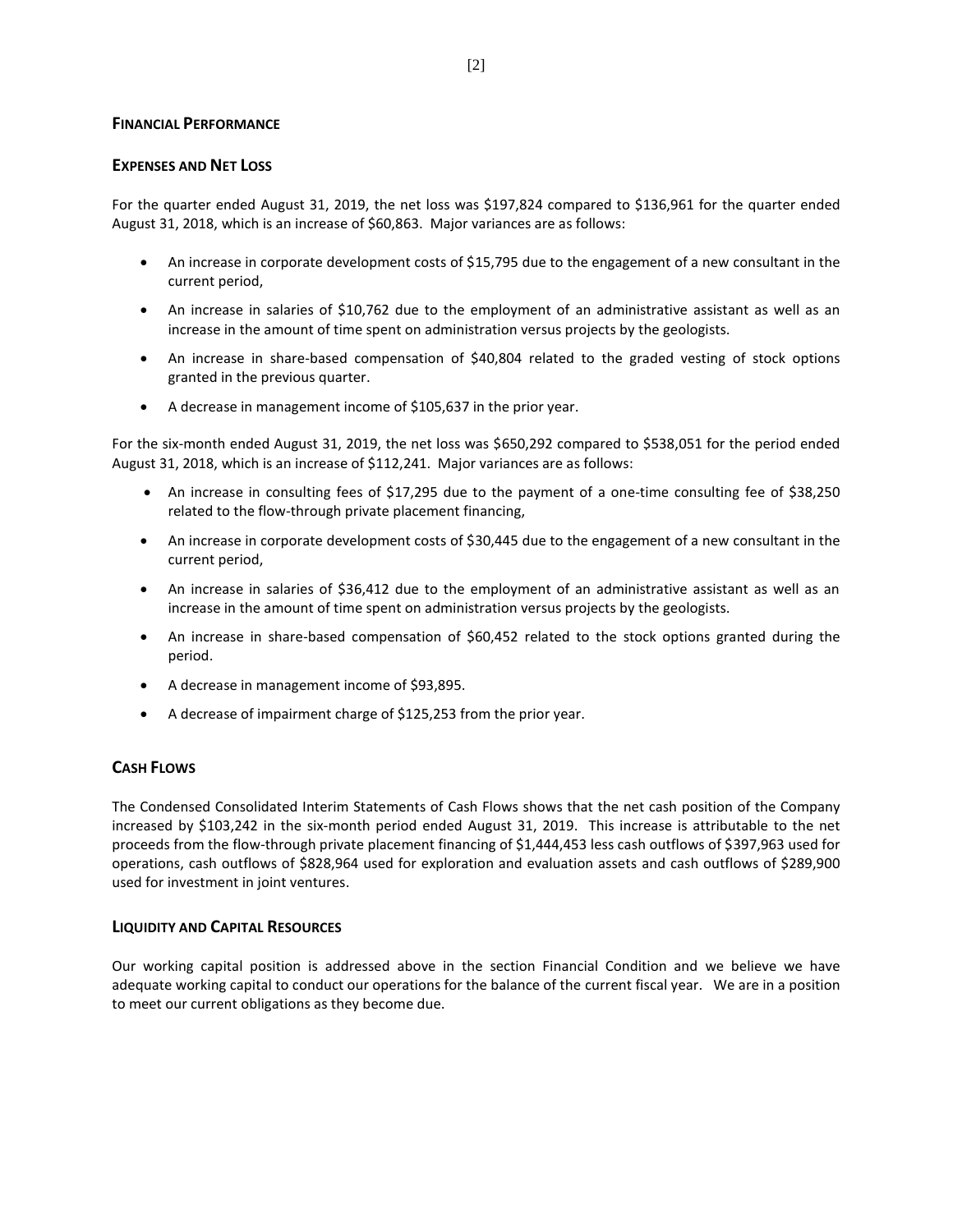# **FINANCIAL PERFORMANCE**

# **EXPENSES AND NET LOSS**

For the quarter ended August 31, 2019, the net loss was \$197,824 compared to \$136,961 for the quarter ended August 31, 2018, which is an increase of \$60,863. Major variances are as follows:

- An increase in corporate development costs of \$15,795 due to the engagement of a new consultant in the current period,
- An increase in salaries of \$10,762 due to the employment of an administrative assistant as well as an increase in the amount of time spent on administration versus projects by the geologists.
- An increase in share-based compensation of \$40,804 related to the graded vesting of stock options granted in the previous quarter.
- A decrease in management income of \$105,637 in the prior year.

For the six-month ended August 31, 2019, the net loss was \$650,292 compared to \$538,051 for the period ended August 31, 2018, which is an increase of \$112,241. Major variances are as follows:

- An increase in consulting fees of \$17,295 due to the payment of a one-time consulting fee of \$38,250 related to the flow-through private placement financing,
- An increase in corporate development costs of \$30,445 due to the engagement of a new consultant in the current period,
- An increase in salaries of \$36,412 due to the employment of an administrative assistant as well as an increase in the amount of time spent on administration versus projects by the geologists.
- An increase in share-based compensation of \$60,452 related to the stock options granted during the period.
- A decrease in management income of \$93,895.
- A decrease of impairment charge of \$125,253 from the prior year.

# **CASH FLOWS**

The Condensed Consolidated Interim Statements of Cash Flows shows that the net cash position of the Company increased by \$103,242 in the six-month period ended August 31, 2019. This increase is attributable to the net proceeds from the flow-through private placement financing of \$1,444,453 less cash outflows of \$397,963 used for operations, cash outflows of \$828,964 used for exploration and evaluation assets and cash outflows of \$289,900 used for investment in joint ventures.

#### **LIQUIDITY AND CAPITAL RESOURCES**

Our working capital position is addressed above in the section Financial Condition and we believe we have adequate working capital to conduct our operations for the balance of the current fiscal year. We are in a position to meet our current obligations as they become due.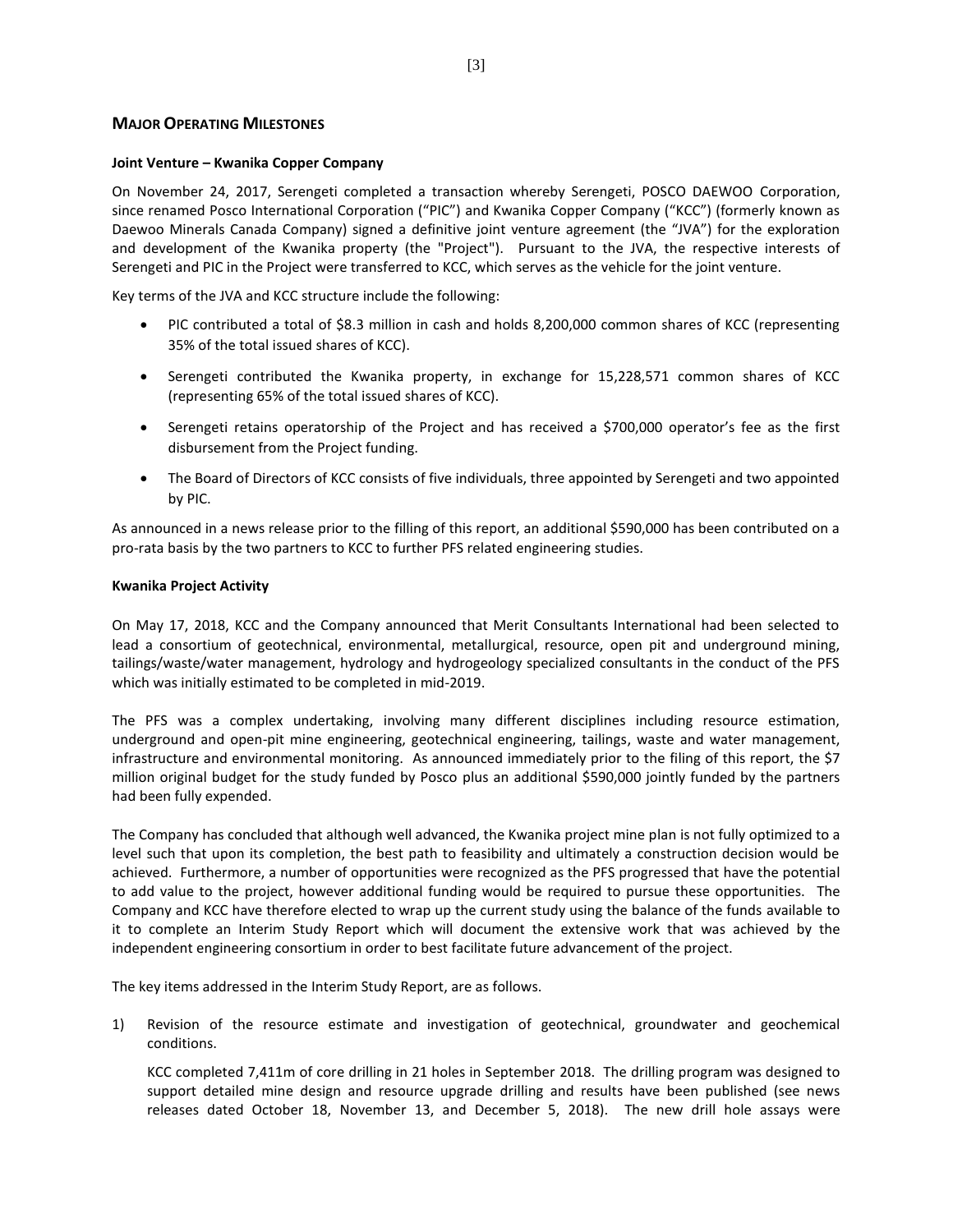# **MAJOR OPERATING MILESTONES**

#### **Joint Venture – Kwanika Copper Company**

On November 24, 2017, Serengeti completed a transaction whereby Serengeti, POSCO DAEWOO Corporation, since renamed Posco International Corporation ("PIC") and Kwanika Copper Company ("KCC") (formerly known as Daewoo Minerals Canada Company) signed a definitive joint venture agreement (the "JVA") for the exploration and development of the Kwanika property (the "Project"). Pursuant to the JVA, the respective interests of Serengeti and PIC in the Project were transferred to KCC, which serves as the vehicle for the joint venture.

Key terms of the JVA and KCC structure include the following:

- PIC contributed a total of \$8.3 million in cash and holds 8,200,000 common shares of KCC (representing 35% of the total issued shares of KCC).
- Serengeti contributed the Kwanika property, in exchange for 15,228,571 common shares of KCC (representing 65% of the total issued shares of KCC).
- Serengeti retains operatorship of the Project and has received a \$700,000 operator's fee as the first disbursement from the Project funding.
- The Board of Directors of KCC consists of five individuals, three appointed by Serengeti and two appointed by PIC.

As announced in a news release prior to the filling of this report, an additional \$590,000 has been contributed on a pro-rata basis by the two partners to KCC to further PFS related engineering studies.

#### **Kwanika Project Activity**

On May 17, 2018, KCC and the Company announced that Merit Consultants International had been selected to lead a consortium of geotechnical, environmental, metallurgical, resource, open pit and underground mining, tailings/waste/water management, hydrology and hydrogeology specialized consultants in the conduct of the PFS which was initially estimated to be completed in mid-2019.

The PFS was a complex undertaking, involving many different disciplines including resource estimation, underground and open-pit mine engineering, geotechnical engineering, tailings, waste and water management, infrastructure and environmental monitoring. As announced immediately prior to the filing of this report, the \$7 million original budget for the study funded by Posco plus an additional \$590,000 jointly funded by the partners had been fully expended.

The Company has concluded that although well advanced, the Kwanika project mine plan is not fully optimized to a level such that upon its completion, the best path to feasibility and ultimately a construction decision would be achieved. Furthermore, a number of opportunities were recognized as the PFS progressed that have the potential to add value to the project, however additional funding would be required to pursue these opportunities. The Company and KCC have therefore elected to wrap up the current study using the balance of the funds available to it to complete an Interim Study Report which will document the extensive work that was achieved by the independent engineering consortium in order to best facilitate future advancement of the project.

The key items addressed in the Interim Study Report, are as follows.

1) Revision of the resource estimate and investigation of geotechnical, groundwater and geochemical conditions.

KCC completed 7,411m of core drilling in 21 holes in September 2018. The drilling program was designed to support detailed mine design and resource upgrade drilling and results have been published (see news releases dated October 18, November 13, and December 5, 2018). The new drill hole assays were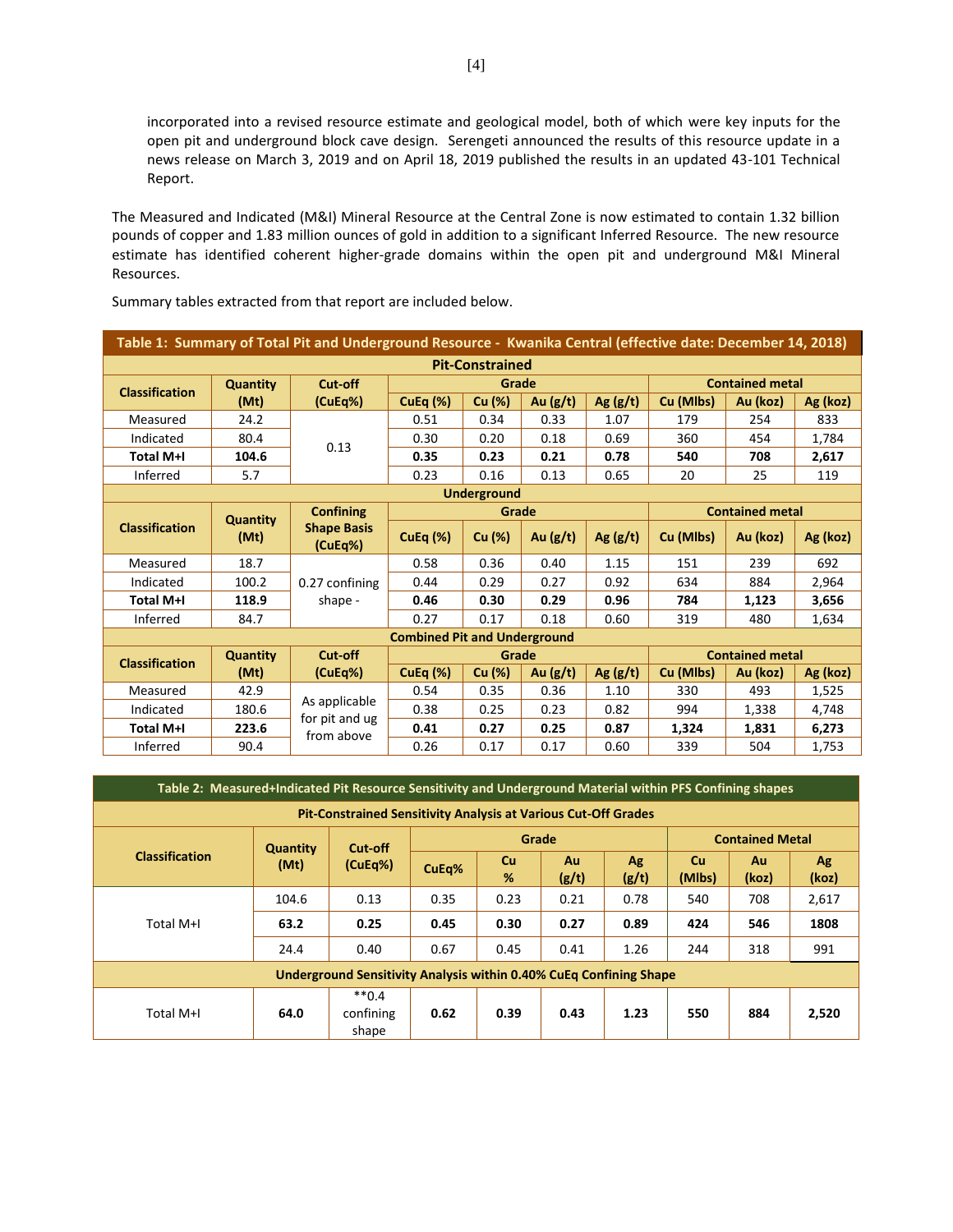incorporated into a revised resource estimate and geological model, both of which were key inputs for the open pit and underground block cave design. Serengeti announced the results of this resource update in a news release on March 3, 2019 and on April 18, 2019 published the results in an updated 43-101 Technical Report.

The Measured and Indicated (M&I) Mineral Resource at the Central Zone is now estimated to contain 1.32 billion pounds of copper and 1.83 million ounces of gold in addition to a significant Inferred Resource. The new resource estimate has identified coherent higher-grade domains within the open pit and underground M&I Mineral Resources.

| Table 1: Summary of Total Pit and Underground Resource - Kwanika Central (effective date: December 14, 2018) |                 |                               |                                     |                    |            |            |                        |                        |          |  |  |
|--------------------------------------------------------------------------------------------------------------|-----------------|-------------------------------|-------------------------------------|--------------------|------------|------------|------------------------|------------------------|----------|--|--|
| <b>Pit-Constrained</b>                                                                                       |                 |                               |                                     |                    |            |            |                        |                        |          |  |  |
| <b>Classification</b>                                                                                        | <b>Quantity</b> | Cut-off                       |                                     | Grade              |            |            |                        | <b>Contained metal</b> |          |  |  |
|                                                                                                              | (Mt)            | (CuEq%)                       | CuEq $(\%)$                         | Cu (%)             | Au $(g/t)$ | Ag $(g/t)$ | Cu (Mlbs)              | Au (koz)               | Ag (koz) |  |  |
| Measured                                                                                                     | 24.2            |                               | 0.51                                | 0.34               | 0.33       | 1.07       | 179                    | 254                    | 833      |  |  |
| Indicated                                                                                                    | 80.4            | 0.13                          | 0.30                                | 0.20               | 0.18       | 0.69       | 360                    | 454                    | 1,784    |  |  |
| <b>Total M+I</b>                                                                                             | 104.6           |                               | 0.35                                | 0.23               | 0.21       | 0.78       | 540                    | 708                    | 2,617    |  |  |
| Inferred                                                                                                     | 5.7             |                               | 0.23                                | 0.16               | 0.13       | 0.65       | 20                     | 25                     | 119      |  |  |
|                                                                                                              |                 |                               |                                     | <b>Underground</b> |            |            |                        |                        |          |  |  |
|                                                                                                              | <b>Quantity</b> | <b>Confining</b>              |                                     | Grade              |            |            |                        | <b>Contained metal</b> |          |  |  |
| <b>Classification</b>                                                                                        | (Mt)            | <b>Shape Basis</b><br>(CuEq%) | <b>CuEq (%)</b>                     | Cu (%)             | Au $(g/t)$ | Ag $(g/t)$ | Cu (Mlbs)              | Au (koz)               | Ag (koz) |  |  |
| Measured                                                                                                     | 18.7            |                               | 0.58                                | 0.36               | 0.40       | 1.15       | 151                    | 239                    | 692      |  |  |
| Indicated                                                                                                    | 100.2           | 0.27 confining                | 0.44                                | 0.29               | 0.27       | 0.92       | 634                    | 884                    | 2,964    |  |  |
| <b>Total M+I</b>                                                                                             | 118.9           | shape -                       | 0.46                                | 0.30               | 0.29       | 0.96       | 784                    | 1,123                  | 3,656    |  |  |
| Inferred                                                                                                     | 84.7            |                               | 0.27                                | 0.17               | 0.18       | 0.60       | 319                    | 480                    | 1,634    |  |  |
|                                                                                                              |                 |                               | <b>Combined Pit and Underground</b> |                    |            |            |                        |                        |          |  |  |
| <b>Classification</b>                                                                                        | <b>Quantity</b> | Cut-off                       |                                     | Grade              |            |            | <b>Contained metal</b> |                        |          |  |  |
|                                                                                                              | (Mt)            | (CuEq%)                       | CuEq $(\%)$                         | Cu (%)             | Au $(g/t)$ | Ag $(g/t)$ | Cu (Mlbs)              | Au (koz)               | Ag (koz) |  |  |
| Measured                                                                                                     | 42.9            |                               | 0.54                                | 0.35               | 0.36       | 1.10       | 330                    | 493                    | 1,525    |  |  |
| Indicated                                                                                                    | 180.6           | As applicable                 | 0.38                                | 0.25               | 0.23       | 0.82       | 994                    | 1,338                  | 4,748    |  |  |
| <b>Total M+I</b>                                                                                             | 223.6           | for pit and ug<br>from above  | 0.41                                | 0.27               | 0.25       | 0.87       | 1,324                  | 1,831                  | 6,273    |  |  |
| Inferred                                                                                                     | 90.4            |                               | 0.26                                | 0.17               | 0.17       | 0.60       | 339                    | 504                    | 1,753    |  |  |

Summary tables extracted from that report are included below.

| Table 2: Measured+Indicated Pit Resource Sensitivity and Underground Material within PFS Confining shapes |       |                               |       |         |             |             |                     |             |                        |  |  |  |
|-----------------------------------------------------------------------------------------------------------|-------|-------------------------------|-------|---------|-------------|-------------|---------------------|-------------|------------------------|--|--|--|
| <b>Pit-Constrained Sensitivity Analysis at Various Cut-Off Grades</b>                                     |       |                               |       |         |             |             |                     |             |                        |  |  |  |
| Grade<br>Cut-off<br><b>Quantity</b>                                                                       |       |                               |       |         |             |             |                     |             | <b>Contained Metal</b> |  |  |  |
| <b>Classification</b>                                                                                     | (Mt)  | (CuEq%)                       | CuEq% | Cu<br>% | Au<br>(g/t) | Ag<br>(g/t) | <b>Cu</b><br>(Mlbs) | Au<br>(koz) | Ag<br>(koz)            |  |  |  |
|                                                                                                           | 104.6 | 0.13                          | 0.35  | 0.23    | 0.21        | 0.78        | 540                 | 708         | 2,617                  |  |  |  |
| Total M+I                                                                                                 | 63.2  | 0.25                          | 0.45  | 0.30    | 0.27        | 0.89        | 424                 | 546         | 1808                   |  |  |  |
|                                                                                                           | 24.4  | 0.40                          | 0.67  | 0.45    | 0.41        | 1.26        | 244                 | 318         | 991                    |  |  |  |
| <b>Underground Sensitivity Analysis within 0.40% CuEq Confining Shape</b>                                 |       |                               |       |         |             |             |                     |             |                        |  |  |  |
| Total M+I                                                                                                 | 64.0  | $**0.4$<br>confining<br>shape | 0.62  | 0.39    | 0.43        | 1.23        | 550                 | 884         | 2,520                  |  |  |  |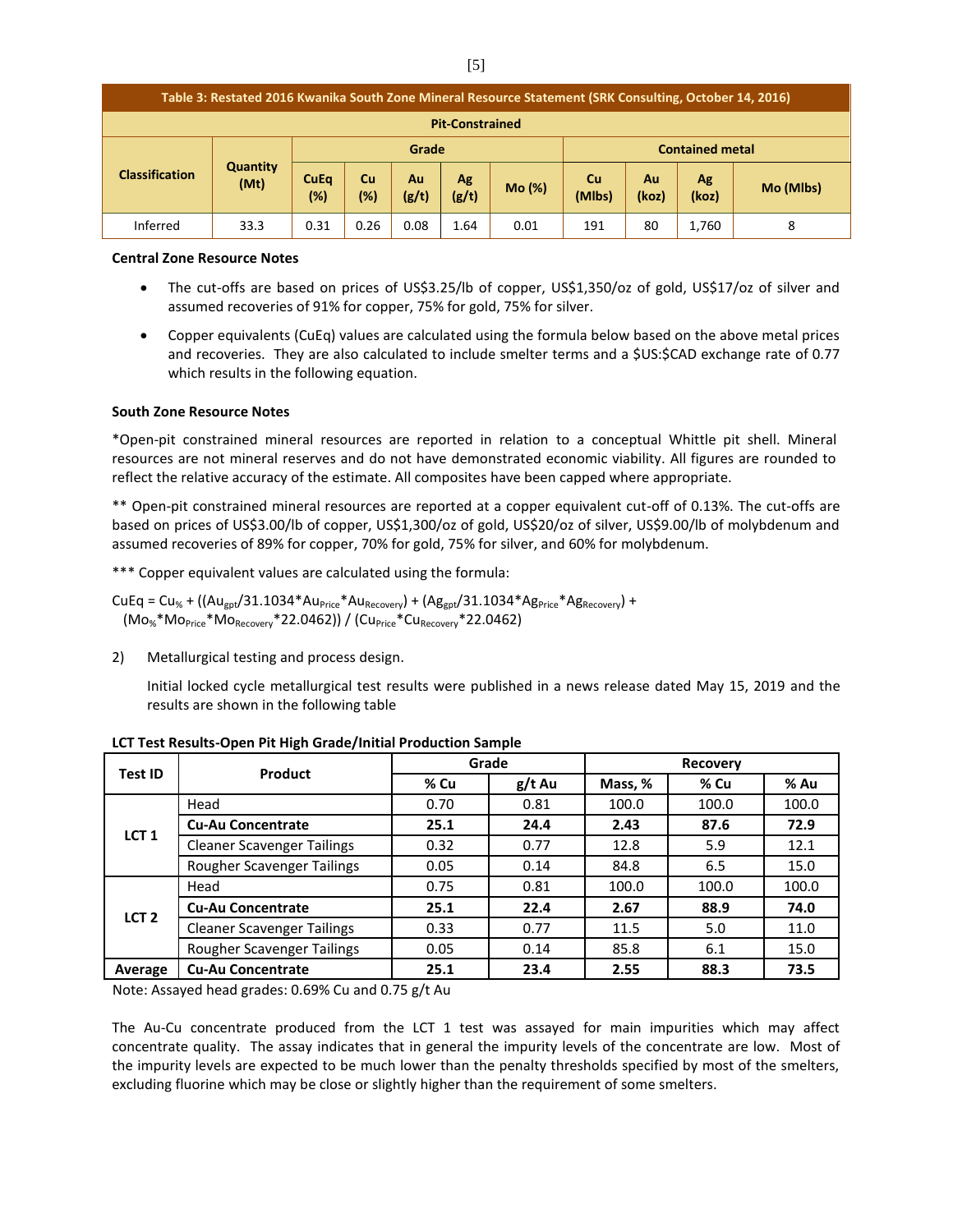| Table 3: Restated 2016 Kwanika South Zone Mineral Resource Statement (SRK Consulting, October 14, 2016) |                         |                       |                  |             |             |        |                                                         |    |       |   |
|---------------------------------------------------------------------------------------------------------|-------------------------|-----------------------|------------------|-------------|-------------|--------|---------------------------------------------------------|----|-------|---|
| <b>Pit-Constrained</b>                                                                                  |                         |                       |                  |             |             |        |                                                         |    |       |   |
|                                                                                                         |                         |                       | Grade            |             |             |        | <b>Contained metal</b>                                  |    |       |   |
| <b>Classification</b>                                                                                   | <b>Quantity</b><br>(Mt) | <b>CuEq</b><br>$(\%)$ | <b>Cu</b><br>(%) | Au<br>(g/t) | Ag<br>(g/t) | Mo (%) | Cu<br>Au<br>Ag<br>Mo (Mlbs)<br>(Mlbs)<br>(koz)<br>(koz) |    |       |   |
| Inferred                                                                                                | 33.3                    | 0.31                  | 0.26             | 0.08        | 1.64        | 0.01   | 191                                                     | 80 | 1,760 | 8 |

#### **Central Zone Resource Notes**

- The cut-offs are based on prices of US\$3.25/lb of copper, US\$1,350/oz of gold, US\$17/oz of silver and assumed recoveries of 91% for copper, 75% for gold, 75% for silver.
- Copper equivalents (CuEq) values are calculated using the formula below based on the above metal prices and recoveries. They are also calculated to include smelter terms and a \$US:\$CAD exchange rate of 0.77 which results in the following equation.

#### **South Zone Resource Notes**

\*Open-pit constrained mineral resources are reported in relation to a conceptual Whittle pit shell. Mineral resources are not mineral reserves and do not have demonstrated economic viability. All figures are rounded to reflect the relative accuracy of the estimate. All composites have been capped where appropriate.

\*\* Open-pit constrained mineral resources are reported at a copper equivalent cut-off of 0.13%. The cut-offs are based on prices of US\$3.00/lb of copper, US\$1,300/oz of gold, US\$20/oz of silver, US\$9.00/lb of molybdenum and assumed recoveries of 89% for copper, 70% for gold, 75% for silver, and 60% for molybdenum.

\*\*\* Copper equivalent values are calculated using the formula:

 $CuEq = Cu_{%} + ((Au_{gpt}/31.1034*Au_{Price}*Au_{Recovery}) + (Ag_{gpt}/31.1034*Ag_{Price}*Ag_{Recovery}) +$  $(Mo<sub>%</sub>*Mo<sub>Price</sub>*Mo<sub>Recovery</sub>*22.0462)$  /  $(Cu<sub>Price</sub>*Cu<sub>Recovery</sub>*22.0462)$ 

2) Metallurgical testing and process design.

Initial locked cycle metallurgical test results were published in a news release dated May 15, 2019 and the results are shown in the following table

| <b>Test ID</b>   | Product                           |      | Grade    | <b>Recovery</b> |       |       |  |
|------------------|-----------------------------------|------|----------|-----------------|-------|-------|--|
|                  |                                   | % Cu | $g/t$ Au | Mass, %         | % Cu  | % Au  |  |
|                  | Head                              | 0.70 | 0.81     | 100.0           | 100.0 | 100.0 |  |
| LCT <sub>1</sub> | <b>Cu-Au Concentrate</b>          | 25.1 | 24.4     | 2.43            | 87.6  | 72.9  |  |
|                  | <b>Cleaner Scavenger Tailings</b> | 0.32 | 0.77     | 12.8            | 5.9   | 12.1  |  |
|                  | Rougher Scavenger Tailings        | 0.05 | 0.14     | 84.8            | 6.5   | 15.0  |  |
| LCT <sub>2</sub> | Head                              | 0.75 | 0.81     | 100.0           | 100.0 | 100.0 |  |
|                  | <b>Cu-Au Concentrate</b>          | 25.1 | 22.4     | 2.67            | 88.9  | 74.0  |  |
|                  | <b>Cleaner Scavenger Tailings</b> | 0.33 | 0.77     | 11.5            | 5.0   | 11.0  |  |
|                  | Rougher Scavenger Tailings        | 0.05 | 0.14     | 85.8            | 6.1   | 15.0  |  |
| Average          | <b>Cu-Au Concentrate</b>          | 25.1 | 23.4     | 2.55            | 88.3  | 73.5  |  |

**LCT Test Results-Open Pit High Grade/Initial Production Sample**

Note: Assayed head grades: 0.69% Cu and 0.75 g/t Au

The Au-Cu concentrate produced from the LCT 1 test was assayed for main impurities which may affect concentrate quality. The assay indicates that in general the impurity levels of the concentrate are low. Most of the impurity levels are expected to be much lower than the penalty thresholds specified by most of the smelters, excluding fluorine which may be close or slightly higher than the requirement of some smelters.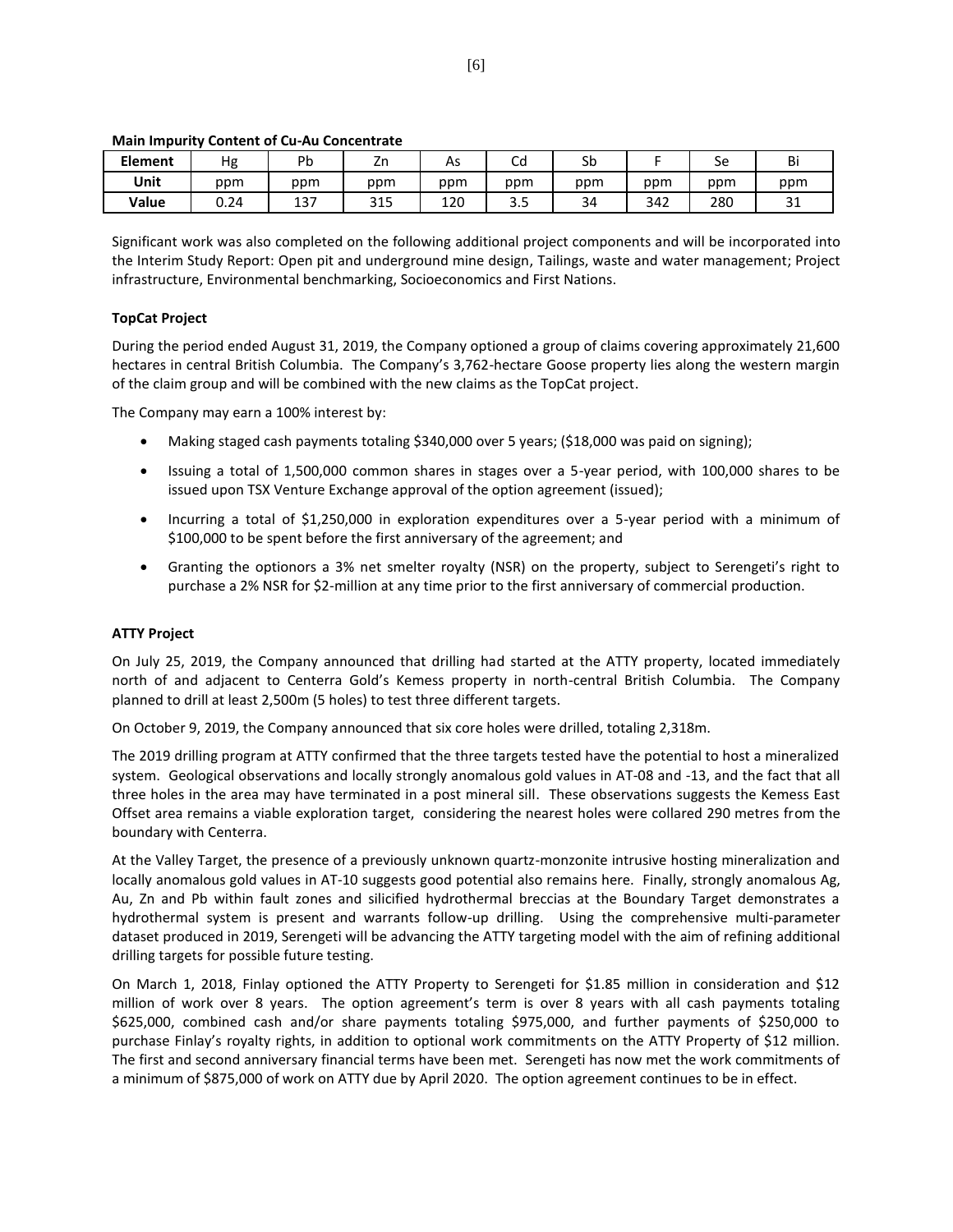| <b>Element</b> | Hg   | Pb  | 7n<br>ZĽ   | As  | ∽<br>cα                         | Sb  |     | Se  | Bi            |
|----------------|------|-----|------------|-----|---------------------------------|-----|-----|-----|---------------|
| Unit           | ppm  | ppm | ppm        | ppm | ppm                             | ppm | ppm | ppm | ppm           |
| Value          | ა.24 | 137 | 24F<br>315 | 120 | $\overline{\phantom{a}}$<br>ວ.ວ | 34  | 342 | 280 | $\sim$<br>⊥ ب |

#### **Main Impurity Content of Cu-Au Concentrate**

Significant work was also completed on the following additional project components and will be incorporated into the Interim Study Report: Open pit and underground mine design, Tailings, waste and water management; Project infrastructure, Environmental benchmarking, Socioeconomics and First Nations.

#### **TopCat Project**

During the period ended August 31, 2019, the Company optioned a group of claims covering approximately 21,600 hectares in central British Columbia. The Company's 3,762-hectare Goose property lies along the western margin of the claim group and will be combined with the new claims as the TopCat project.

The Company may earn a 100% interest by:

- Making staged cash payments totaling \$340,000 over 5 years; (\$18,000 was paid on signing);
- Issuing a total of 1,500,000 common shares in stages over a 5-year period, with 100,000 shares to be issued upon TSX Venture Exchange approval of the option agreement (issued);
- Incurring a total of \$1,250,000 in exploration expenditures over a 5-year period with a minimum of \$100,000 to be spent before the first anniversary of the agreement; and
- Granting the optionors a 3% net smelter royalty (NSR) on the property, subject to Serengeti's right to purchase a 2% NSR for \$2-million at any time prior to the first anniversary of commercial production.

## **ATTY Project**

On July 25, 2019, the Company announced that drilling had started at the ATTY property, located immediately north of and adjacent to Centerra Gold's Kemess property in north-central British Columbia. The Company planned to drill at least 2,500m (5 holes) to test three different targets.

On October 9, 2019, the Company announced that six core holes were drilled, totaling 2,318m.

The 2019 drilling program at ATTY confirmed that the three targets tested have the potential to host a mineralized system. Geological observations and locally strongly anomalous gold values in AT-08 and -13, and the fact that all three holes in the area may have terminated in a post mineral sill. These observations suggests the Kemess East Offset area remains a viable exploration target, considering the nearest holes were collared 290 metres from the boundary with Centerra.

At the Valley Target, the presence of a previously unknown quartz-monzonite intrusive hosting mineralization and locally anomalous gold values in AT-10 suggests good potential also remains here. Finally, strongly anomalous Ag, Au, Zn and Pb within fault zones and silicified hydrothermal breccias at the Boundary Target demonstrates a hydrothermal system is present and warrants follow-up drilling. Using the comprehensive multi-parameter dataset produced in 2019, Serengeti will be advancing the ATTY targeting model with the aim of refining additional drilling targets for possible future testing.

On March 1, 2018, Finlay optioned the ATTY Property to Serengeti for \$1.85 million in consideration and \$12 million of work over 8 years. The option agreement's term is over 8 years with all cash payments totaling \$625,000, combined cash and/or share payments totaling \$975,000, and further payments of \$250,000 to purchase Finlay's royalty rights, in addition to optional work commitments on the ATTY Property of \$12 million. The first and second anniversary financial terms have been met. Serengeti has now met the work commitments of a minimum of \$875,000 of work on ATTY due by April 2020. The option agreement continues to be in effect.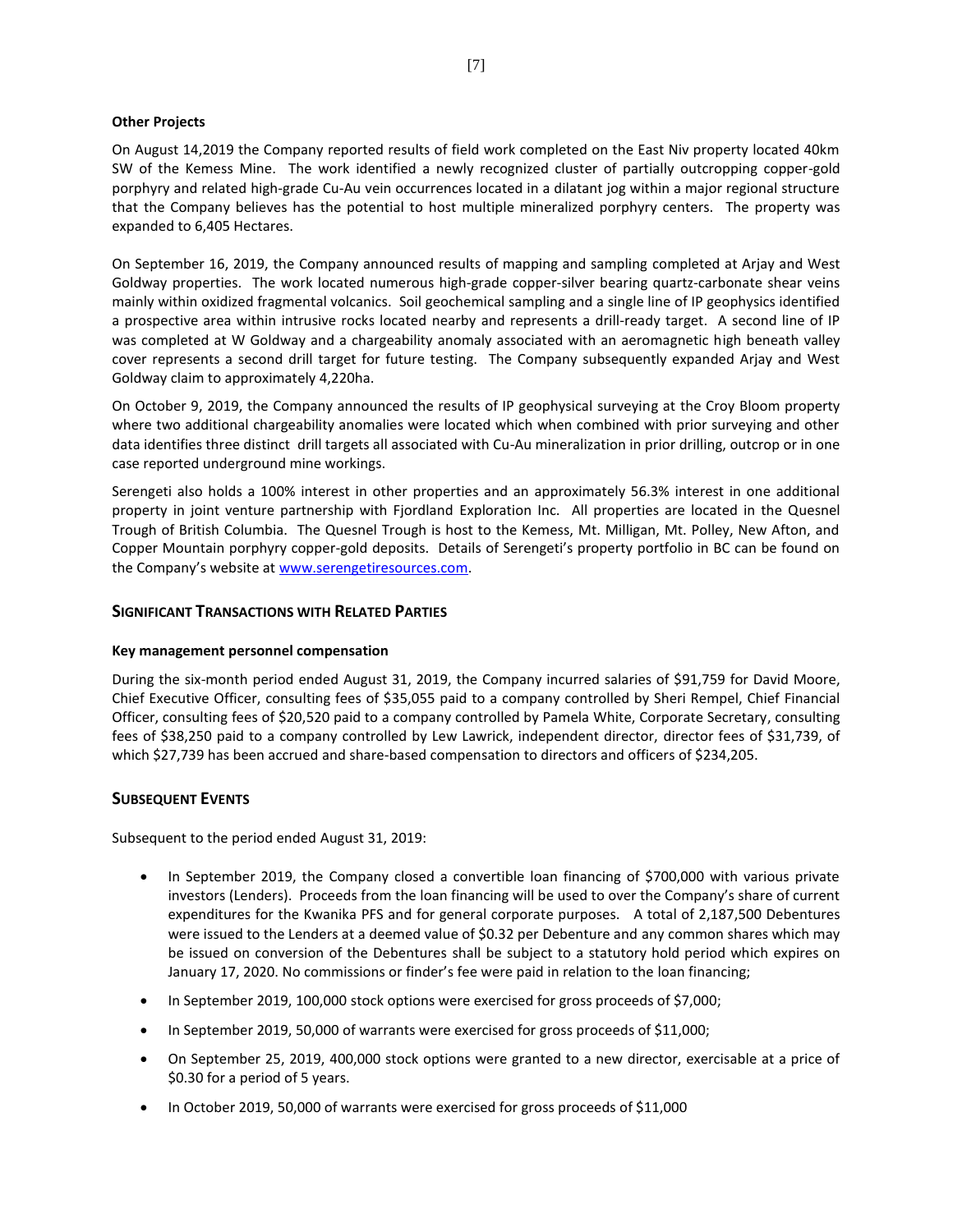#### **Other Projects**

On August 14,2019 the Company reported results of field work completed on the East Niv property located 40km SW of the Kemess Mine. The work identified a newly recognized cluster of partially outcropping copper-gold porphyry and related high-grade Cu-Au vein occurrences located in a dilatant jog within a major regional structure that the Company believes has the potential to host multiple mineralized porphyry centers. The property was expanded to 6,405 Hectares.

On September 16, 2019, the Company announced results of mapping and sampling completed at Arjay and West Goldway properties. The work located numerous high-grade copper-silver bearing quartz-carbonate shear veins mainly within oxidized fragmental volcanics. Soil geochemical sampling and a single line of IP geophysics identified a prospective area within intrusive rocks located nearby and represents a drill-ready target. A second line of IP was completed at W Goldway and a chargeability anomaly associated with an aeromagnetic high beneath valley cover represents a second drill target for future testing. The Company subsequently expanded Arjay and West Goldway claim to approximately 4,220ha.

On October 9, 2019, the Company announced the results of IP geophysical surveying at the Croy Bloom property where two additional chargeability anomalies were located which when combined with prior surveying and other data identifies three distinct drill targets all associated with Cu-Au mineralization in prior drilling, outcrop or in one case reported underground mine workings.

Serengeti also holds a 100% interest in other properties and an approximately 56.3% interest in one additional property in joint venture partnership with Fjordland Exploration Inc. All properties are located in the Quesnel Trough of British Columbia. The Quesnel Trough is host to the Kemess, Mt. Milligan, Mt. Polley, New Afton, and Copper Mountain porphyry copper-gold deposits. Details of Serengeti's property portfolio in BC can be found on the Company's website at [www.serengetiresources.com.](http://www.serengetiresources.com/)

# **SIGNIFICANT TRANSACTIONS WITH RELATED PARTIES**

#### **Key management personnel compensation**

During the six-month period ended August 31, 2019, the Company incurred salaries of \$91,759 for David Moore, Chief Executive Officer, consulting fees of \$35,055 paid to a company controlled by Sheri Rempel, Chief Financial Officer, consulting fees of \$20,520 paid to a company controlled by Pamela White, Corporate Secretary, consulting fees of \$38,250 paid to a company controlled by Lew Lawrick, independent director, director fees of \$31,739, of which \$27,739 has been accrued and share-based compensation to directors and officers of \$234,205.

# **SUBSEQUENT EVENTS**

Subsequent to the period ended August 31, 2019:

- In September 2019, the Company closed a convertible loan financing of \$700,000 with various private investors (Lenders). Proceeds from the loan financing will be used to over the Company's share of current expenditures for the Kwanika PFS and for general corporate purposes. A total of 2,187,500 Debentures were issued to the Lenders at a deemed value of \$0.32 per Debenture and any common shares which may be issued on conversion of the Debentures shall be subject to a statutory hold period which expires on January 17, 2020. No commissions or finder's fee were paid in relation to the loan financing;
- In September 2019, 100,000 stock options were exercised for gross proceeds of \$7,000;
- In September 2019, 50,000 of warrants were exercised for gross proceeds of \$11,000;
- On September 25, 2019, 400,000 stock options were granted to a new director, exercisable at a price of \$0.30 for a period of 5 years.
- In October 2019, 50,000 of warrants were exercised for gross proceeds of \$11,000